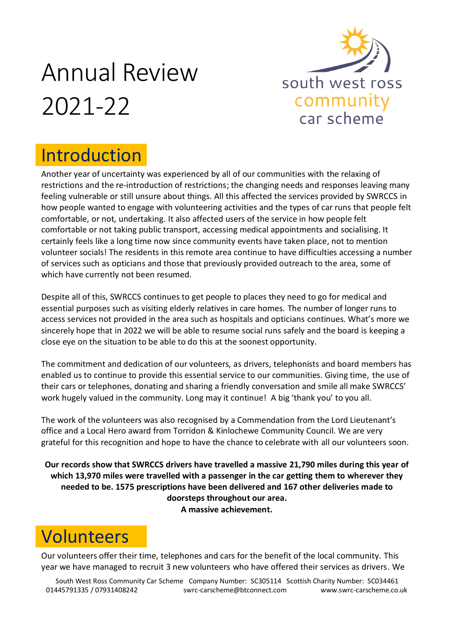# Annual Review 2021-22



## Introduction

Another year of uncertainty was experienced by all of our communities with the relaxing of restrictions and the re-introduction of restrictions; the changing needs and responses leaving many feeling vulnerable or still unsure about things. All this affected the services provided by SWRCCS in how people wanted to engage with volunteering activities and the types of car runs that people felt comfortable, or not, undertaking. It also affected users of the service in how people felt comfortable or not taking public transport, accessing medical appointments and socialising. It certainly feels like a long time now since community events have taken place, not to mention volunteer socials! The residents in this remote area continue to have difficulties accessing a number of services such as opticians and those that previously provided outreach to the area, some of which have currently not been resumed.

Despite all of this, SWRCCS continues to get people to places they need to go for medical and essential purposes such as visiting elderly relatives in care homes. The number of longer runs to access services not provided in the area such as hospitals and opticians continues. What's more we sincerely hope that in 2022 we will be able to resume social runs safely and the board is keeping a close eye on the situation to be able to do this at the soonest opportunity.

The commitment and dedication of our volunteers, as drivers, telephonists and board members has enabled us to continue to provide this essential service to our communities. Giving time, the use of their cars or telephones, donating and sharing a friendly conversation and smile all make SWRCCS' work hugely valued in the community. Long may it continue! A big 'thank you' to you all.

The work of the volunteers was also recognised by a Commendation from the Lord Lieutenant's office and a Local Hero award from Torridon & Kinlochewe Community Council. We are very grateful for this recognition and hope to have the chance to celebrate with all our volunteers soon.

**Our records show that SWRCCS drivers have travelled a massive 21,790 miles during this year of which 13,970 miles were travelled with a passenger in the car getting them to wherever they needed to be. 1575 prescriptions have been delivered and 167 other deliveries made to doorsteps throughout our area. A massive achievement.**

## Volunteers

Our volunteers offer their time, telephones and cars for the benefit of the local community. This year we have managed to recruit 3 new volunteers who have offered their services as drivers. We

South West Ross Community Car Scheme Company Number: SC305114 Scottish Charity Number: SC034461 01445791335 / 07931408242 [swrc-carscheme@btconnect.com](mailto:swrc-carscheme@btconnect.com) www.swrc-carscheme.co.uk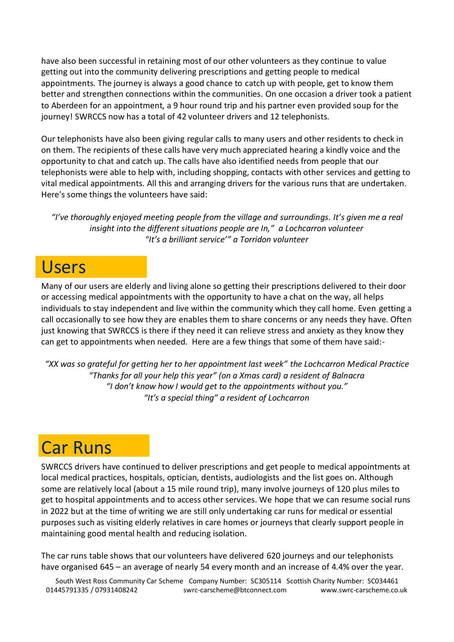have also been successful in retaining most of our other volunteers as they continue to value getting out into the community delivering prescriptions and getting people to medical appointments. The journey is always a good chance to catch up with people, get to know them better and strengthen connections within the communities. On one occasion a driver took a patient to Aberdeen for an appointment, a 9 hour round trip and his partner even provided soup for the journey! SWRCCS now has a total of 42 volunteer drivers and 12 telephonists.

Our telephonists have also been giving regular calls to many users and other residents to check in on them. The recipients of these calls have very much appreciated hearing a kindly voice and the opportunity to chat and catch up. The calls have also identified needs from people that our telephonists were able to help with, including shopping, contacts with other services and getting to vital medical appointments. All this and arranging drivers for the various runs that are undertaken. Here's some things the volunteers have said:

*"I've thoroughly enjoyed meeting people from the village and surroundings. It's given me a real insight into the different situations people are In," a Lochcarron volunteer "It's a brilliant service'" a Torridon volunteer*

#### Users

Many of our users are elderly and living alone so getting their prescriptions delivered to their door or accessing medical appointments with the opportunity to have a chat on the way, all helps individuals to stay independent and live within the community which they call home. Even getting a call occasionally to see how they are enables them to share concerns or any needs they have. Often just knowing that SWRCCS is there if they need it can relieve stress and anxiety as they know they can get to appointments when needed. Here are a few things that some of them have said:-

*"XX was so grateful for getting her to her appointment last week" the Lochcarron Medical Practice "Thanks for all your help this year" (on a Xmas card) a resident of Balnacra "I don't know how I would get to the appointments without you." "It's a special thing" a resident of Lochcarron*

#### Car Runs

SWRCCS drivers have continued to deliver prescriptions and get people to medical appointments at local medical practices, hospitals, optician, dentists, audiologists and the list goes on. Although some are relatively local (about a 15 mile round trip), many involve journeys of 120 plus miles to get to hospital appointments and to access other services. We hope that we can resume social runs in 2022 but at the time of writing we are still only undertaking car runs for medical or essential purposes such as visiting elderly relatives in care homes or journeys that clearly support people in maintaining good mental health and reducing isolation.

The car runs table shows that our volunteers have delivered 620 journeys and our telephonists have organised 645 – an average of nearly 54 every month and an increase of 4.4% over the year.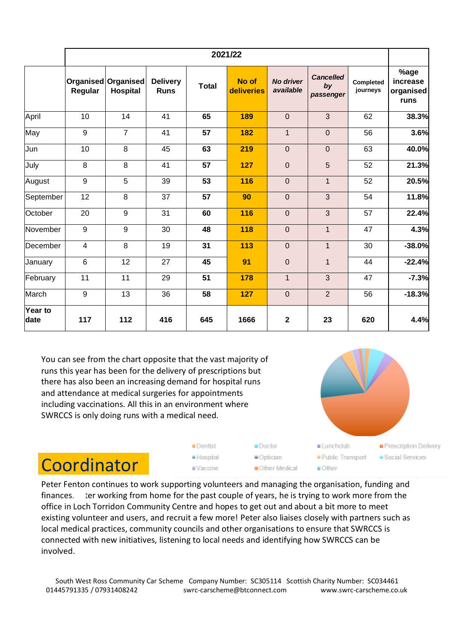|                 | 2021/22                     |                              |                                |              |                     |                               |                                     |                       |                                       |
|-----------------|-----------------------------|------------------------------|--------------------------------|--------------|---------------------|-------------------------------|-------------------------------------|-----------------------|---------------------------------------|
|                 | <b>Organised</b><br>Regular | Organised<br><b>Hospital</b> | <b>Delivery</b><br><b>Runs</b> | <b>Total</b> | No of<br>deliveries | <b>No driver</b><br>available | <b>Cancelled</b><br>by<br>passenger | Completed<br>journeys | %age<br>increase<br>organised<br>runs |
| April           | 10                          | 14                           | 41                             | 65           | 189                 | $\mathbf 0$                   | 3                                   | 62                    | 38.3%                                 |
| May             | 9                           | $\overline{7}$               | 41                             | 57           | 182                 | $\mathbf{1}$                  | $\mathbf 0$                         | 56                    | 3.6%                                  |
| Jun             | 10                          | 8                            | 45                             | 63           | 219                 | $\mathbf 0$                   | $\mathbf 0$                         | 63                    | 40.0%                                 |
| July            | 8                           | 8                            | 41                             | 57           | 127                 | $\mathbf 0$                   | 5                                   | 52                    | 21.3%                                 |
| August          | $\boldsymbol{9}$            | 5                            | 39                             | 53           | 116                 | $\boldsymbol{0}$              | 1                                   | 52                    | 20.5%                                 |
| September       | 12                          | 8                            | 37                             | 57           | 90                  | $\mathbf 0$                   | 3                                   | 54                    | 11.8%                                 |
| October         | 20                          | 9                            | 31                             | 60           | 116                 | $\pmb{0}$                     | 3                                   | 57                    | 22.4%                                 |
| November        | $9\,$                       | $9\,$                        | 30                             | 48           | 118                 | $\boldsymbol{0}$              | $\overline{1}$                      | 47                    | 4.3%                                  |
| December        | 4                           | 8                            | 19                             | 31           | 113                 | $\mathbf 0$                   | $\mathbf{1}$                        | 30                    | $-38.0%$                              |
| January         | $6\phantom{1}6$             | 12                           | 27                             | 45           | 91                  | $\overline{0}$                | $\mathbf{1}$                        | 44                    | $-22.4%$                              |
| February        | 11                          | 11                           | 29                             | 51           | 178                 | $\mathbf{1}$                  | $\overline{3}$                      | 47                    | $-7.3%$                               |
| March           | 9                           | 13                           | 36                             | 58           | 127                 | $\mathbf 0$                   | $\overline{2}$                      | 56                    | $-18.3%$                              |
| Year to<br>date | 117                         | 112                          | 416                            | 645          | 1666                | $\overline{\mathbf{2}}$       | 23                                  | 620                   | 4.4%                                  |

You can see from the chart opposite that the vast majority of runs this year has been for the delivery of prescriptions but there has also been an increasing demand for hospital runs and attendance at medical surgeries for appointments including vaccinations. All this in an environment where SWRCCS is only doing runs with a medical need.



## **Coordinator**

Peter Fenton continues to work supporting volunteers and managing the organisation, funding and finances. Ler working from home for the past couple of years, he is trying to work more from the office in Loch Torridon Community Centre and hopes to get out and about a bit more to meet existing volunteer and users, and recruit a few more! Peter also liaises closely with partners such as local medical practices, community councils and other organisations to ensure that SWRCCS is connected with new initiatives, listening to local needs and identifying how SWRCCS can be involved.

■Doctor

= Optician

**Dentist** 

· Hospital

Waccine.

South West Ross Community Car Scheme Company Number: SC305114 Scottish Charity Number: SC034461 01445791335 / 07931408242 [swrc-carscheme@btconnect.com](mailto:swrc-carscheme@btconnect.com) www.swrc-carscheme.co.uk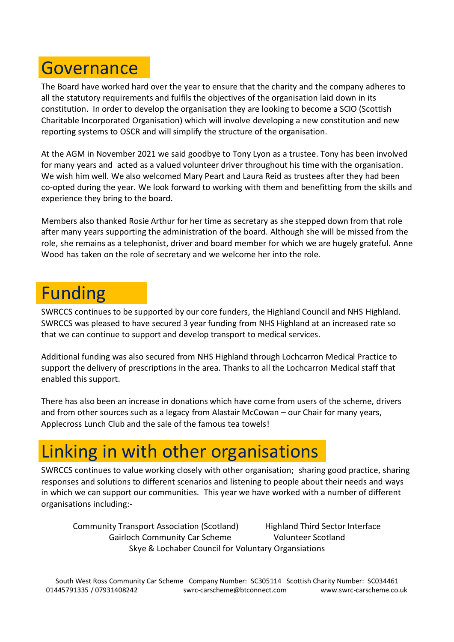#### **Governance**

The Board have worked hard over the year to ensure that the charity and the company adheres to all the statutory requirements and fulfils the objectives of the organisation laid down in its constitution. In order to develop the organisation they are looking to become a SCIO (Scottish Charitable Incorporated Organisation) which will involve developing a new constitution and new reporting systems to OSCR and will simplify the structure of the organisation.

At the AGM in November 2021 we said goodbye to Tony Lyon as a trustee. Tony has been involved for many years and acted as a valued volunteer driver throughout his time with the organisation. We wish him well. We also welcomed Mary Peart and Laura Reid as trustees after they had been co-opted during the year. We look forward to working with them and benefitting from the skills and experience they bring to the board.

Members also thanked Rosie Arthur for her time as secretary as she stepped down from that role after many years supporting the administration of the board. Although she will be missed from the role, she remains as a telephonist, driver and board member for which we are hugely grateful. Anne Wood has taken on the role of secretary and we welcome her into the role.

#### Funding

SWRCCS continues to be supported by our core funders, the Highland Council and NHS Highland. SWRCCS was pleased to have secured 3 year funding from NHS Highland at an increased rate so that we can continue to support and develop transport to medical services.

Additional funding was also secured from NHS Highland through Lochcarron Medical Practice to support the delivery of prescriptions in the area. Thanks to all the Lochcarron Medical staff that enabled this support.

There has also been an increase in donations which have come from users of the scheme, drivers and from other sources such as a legacy from Alastair McCowan – our Chair for many years, Applecross Lunch Club and the sale of the famous tea towels!

## Linking in with other organisations

SWRCCS continues to value working closely with other organisation; sharing good practice, sharing responses and solutions to different scenarios and listening to people about their needs and ways in which we can support our communities. This year we have worked with a number of different organisations including:-

Community Transport Association (Scotland) Highland Third Sector Interface Gairloch Community Car Scheme Volunteer Scotland Skye & Lochaber Council for Voluntary Organsiations